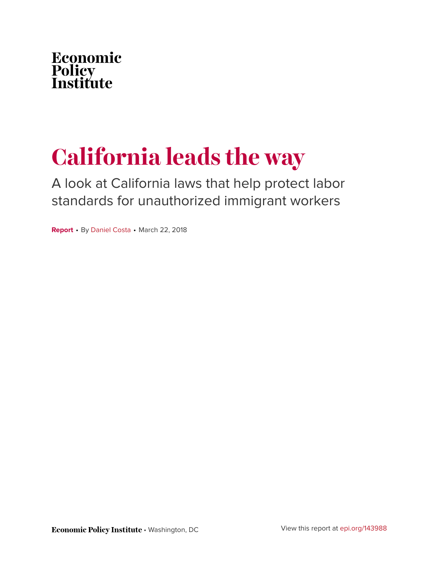

# **California leads the way**

A look at California laws that help protect labor standards for unauthorized immigrant workers

**Report** • By [Daniel Costa](https://www.epi.org/people/daniel-costa/) • March 22, 2018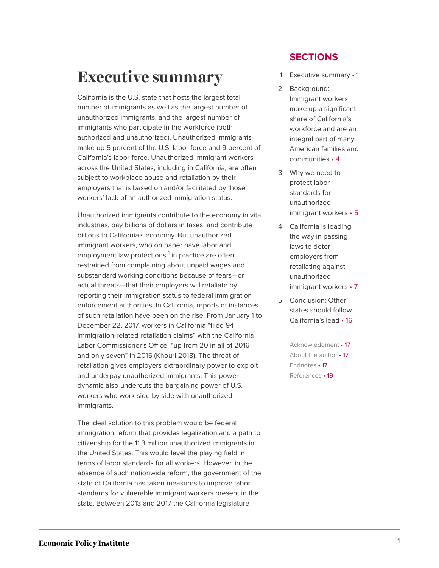# <span id="page-1-0"></span>**Executive summary**

California is the U.S. state that hosts the largest total number of immigrants as well as the largest number of unauthorized immigrants, and the largest number of immigrants who participate in the workforce (both authorized and unauthorized). Unauthorized immigrants make up 5 percent of the U.S. labor force and 9 percent of California's labor force. Unauthorized immigrant workers across the United States, including in California, are often subject to workplace abuse and retaliation by their employers that is based on and/or facilitated by those workers' lack of an authorized immigration status.

<span id="page-1-1"></span>Unauthorized immigrants contribute to the economy in vital industries, pay billions of dollars in taxes, and contribute billions to California's economy. But unauthorized immigrant workers, who on paper have labor and employment law protections,<sup>[1](#page-17-3)</sup> in practice are often restrained from complaining about unpaid wages and substandard working conditions because of fears—or actual threats—that their employers will retaliate by reporting their immigration status to federal immigration enforcement authorities. In California, reports of instances of such retaliation have been on the rise. From January 1 to December 22, 2017, workers in California "filed 94 immigration-related retaliation claims" with the California Labor Commissioner's Office, "up from 20 in all of 2016 and only seven" in 2015 (Khouri 2018). The threat of retaliation gives employers extraordinary power to exploit and underpay unauthorized immigrants. This power dynamic also undercuts the bargaining power of U.S. workers who work side by side with unauthorized immigrants.

The ideal solution to this problem would be federal immigration reform that provides legalization and a path to citizenship for the 11.3 million unauthorized immigrants in the United States. This would level the playing field in terms of labor standards for all workers. However, in the absence of such nationwide reform, the government of the state of California has taken measures to improve labor standards for vulnerable immigrant workers present in the state. Between 2013 and 2017 the California legislature

#### **SECTIONS**

- 1. [Executive](#page-1-0) summary 1
- 2. [Background:](#page-4-0) [Immigrant workers](#page-4-0) [make up a significant](#page-4-0) [share of California's](#page-4-0) [workforce and are an](#page-4-0) [integral part of many](#page-4-0) [American families and](#page-4-0) [communities](#page-4-0) • 4
- 3. [Why we need to](#page-5-0) [protect labor](#page-5-0) [standards for](#page-5-0) [unauthorized](#page-5-0) [immigrant](#page-5-0) workers • 5
- 4. [California is leading](#page-7-0) [the way in passing](#page-7-0) [laws to deter](#page-7-0) [employers from](#page-7-0) [retaliating against](#page-7-0) [unauthorized](#page-7-0) [immigrant](#page-7-0) workers • 7
- 5. [Conclusion: Other](#page-16-0) [states should follow](#page-16-0) [California's](#page-16-0) lead • 16

[Acknowledgment](#page-17-0) • 17 [About the](#page-17-1) author • 17 [Endnotes](#page-17-2) • 17 [References](#page-19-0) • 19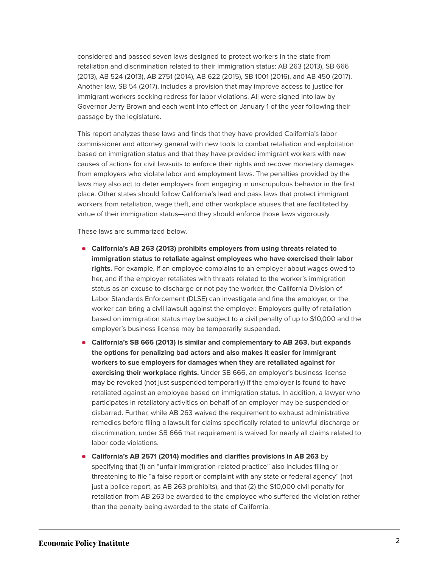considered and passed seven laws designed to protect workers in the state from retaliation and discrimination related to their immigration status: AB 263 (2013), SB 666 (2013), AB 524 (2013), AB 2751 (2014), AB 622 (2015), SB 1001 (2016), and AB 450 (2017). Another law, SB 54 (2017), includes a provision that may improve access to justice for immigrant workers seeking redress for labor violations. All were signed into law by Governor Jerry Brown and each went into effect on January 1 of the year following their passage by the legislature.

This report analyzes these laws and finds that they have provided California's labor commissioner and attorney general with new tools to combat retaliation and exploitation based on immigration status and that they have provided immigrant workers with new causes of actions for civil lawsuits to enforce their rights and recover monetary damages from employers who violate labor and employment laws. The penalties provided by the laws may also act to deter employers from engaging in unscrupulous behavior in the first place. Other states should follow California's lead and pass laws that protect immigrant workers from retaliation, wage theft, and other workplace abuses that are facilitated by virtue of their immigration status—and they should enforce those laws vigorously.

These laws are summarized below.

- **California's AB 263 (2013) prohibits employers from using threats related to immigration status to retaliate against employees who have exercised their labor rights.** For example, if an employee complains to an employer about wages owed to her, and if the employer retaliates with threats related to the worker's immigration status as an excuse to discharge or not pay the worker, the California Division of Labor Standards Enforcement (DLSE) can investigate and fine the employer, or the worker can bring a civil lawsuit against the employer. Employers guilty of retaliation based on immigration status may be subject to a civil penalty of up to \$10,000 and the employer's business license may be temporarily suspended.
- **California's SB 666 (2013) is similar and complementary to AB 263, but expands the options for penalizing bad actors and also makes it easier for immigrant workers to sue employers for damages when they are retaliated against for exercising their workplace rights.** Under SB 666, an employer's business license may be revoked (not just suspended temporarily) if the employer is found to have retaliated against an employee based on immigration status. In addition, a lawyer who participates in retaliatory activities on behalf of an employer may be suspended or disbarred. Further, while AB 263 waived the requirement to exhaust administrative remedies before filing a lawsuit for claims specifically related to unlawful discharge or discrimination, under SB 666 that requirement is waived for nearly all claims related to labor code violations.
- **California's AB 2571 (2014) modifies and clarifies provisions in AB 263** by specifying that (1) an "unfair immigration-related practice" also includes filing or threatening to file "a false report or complaint with any state or federal agency" (not just a police report, as AB 263 prohibits), and that (2) the \$10,000 civil penalty for retaliation from AB 263 be awarded to the employee who suffered the violation rather than the penalty being awarded to the state of California.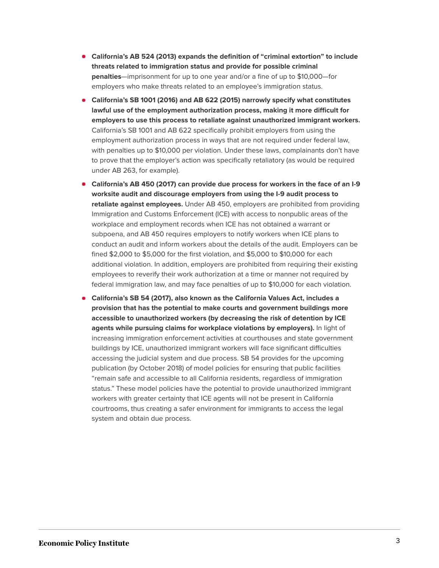- **California's AB 524 (2013) expands the definition of "criminal extortion" to include threats related to immigration status and provide for possible criminal penalties**—imprisonment for up to one year and/or a fine of up to \$10,000—for employers who make threats related to an employee's immigration status.
- **California's SB 1001 (2016) and AB 622 (2015) narrowly specify what constitutes lawful use of the employment authorization process, making it more difficult for employers to use this process to retaliate against unauthorized immigrant workers.** California's SB 1001 and AB 622 specifically prohibit employers from using the employment authorization process in ways that are not required under federal law, with penalties up to \$10,000 per violation. Under these laws, complainants don't have to prove that the employer's action was specifically retaliatory (as would be required under AB 263, for example).
- **California's AB 450 (2017) can provide due process for workers in the face of an I-9 worksite audit and discourage employers from using the I-9 audit process to retaliate against employees.** Under AB 450, employers are prohibited from providing Immigration and Customs Enforcement (ICE) with access to nonpublic areas of the workplace and employment records when ICE has not obtained a warrant or subpoena, and AB 450 requires employers to notify workers when ICE plans to conduct an audit and inform workers about the details of the audit. Employers can be fined \$2,000 to \$5,000 for the first violation, and \$5,000 to \$10,000 for each additional violation. In addition, employers are prohibited from requiring their existing employees to reverify their work authorization at a time or manner not required by federal immigration law, and may face penalties of up to \$10,000 for each violation.
- **California's SB 54 (2017), also known as the California Values Act, includes a provision that has the potential to make courts and government buildings more accessible to unauthorized workers (by decreasing the risk of detention by ICE agents while pursuing claims for workplace violations by employers).** In light of increasing immigration enforcement activities at courthouses and state government buildings by ICE, unauthorized immigrant workers will face significant difficulties accessing the judicial system and due process. SB 54 provides for the upcoming publication (by October 2018) of model policies for ensuring that public facilities "remain safe and accessible to all California residents, regardless of immigration status." These model policies have the potential to provide unauthorized immigrant workers with greater certainty that ICE agents will not be present in California courtrooms, thus creating a safer environment for immigrants to access the legal system and obtain due process.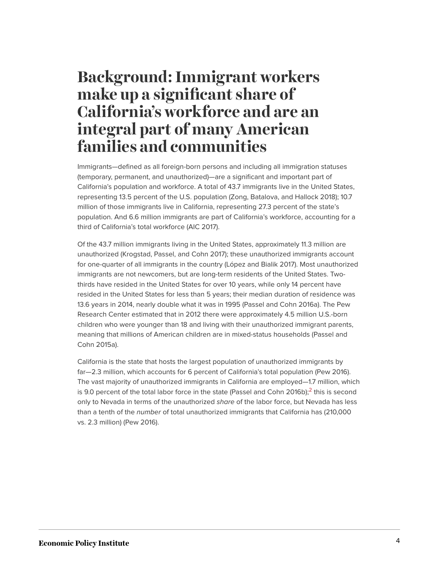## <span id="page-4-0"></span>**Background: Immigrant workers make up a significant share of California's workforce and are an integral part of many American families and communities**

Immigrants—defined as all foreign-born persons and including all immigration statuses (temporary, permanent, and unauthorized)—are a significant and important part of California's population and workforce. A total of 43.7 immigrants live in the United States, representing 13.5 percent of the U.S. population (Zong, Batalova, and Hallock 2018); 10.7 million of those immigrants live in California, representing 27.3 percent of the state's population. And 6.6 million immigrants are part of California's workforce, accounting for a third of California's total workforce (AIC 2017).

Of the 43.7 million immigrants living in the United States, approximately 11.3 million are unauthorized (Krogstad, Passel, and Cohn 2017); these unauthorized immigrants account for one-quarter of all immigrants in the country (López and Bialik 2017). Most unauthorized immigrants are not newcomers, but are long-term residents of the United States. Twothirds have resided in the United States for over 10 years, while only 14 percent have resided in the United States for less than 5 years; their median duration of residence was 13.6 years in 2014, nearly double what it was in 1995 (Passel and Cohn 2016a). The Pew Research Center estimated that in 2012 there were approximately 4.5 million U.S.-born children who were younger than 18 and living with their unauthorized immigrant parents, meaning that millions of American children are in mixed-status households (Passel and Cohn 2015a).

<span id="page-4-1"></span>California is the state that hosts the largest population of unauthorized immigrants by far—2.3 million, which accounts for 6 percent of California's total population (Pew 2016). The vast majority of unauthorized immigrants in California are employed—1.7 million, which is 9.0 percent of the total labor force in the state (Passel and Cohn [2](#page-17-4)016b); $^2$  this is second only to Nevada in terms of the unauthorized *share* of the labor force, but Nevada has less than a tenth of the *number* of total unauthorized immigrants that California has (210,000 vs. 2.3 million) (Pew 2016).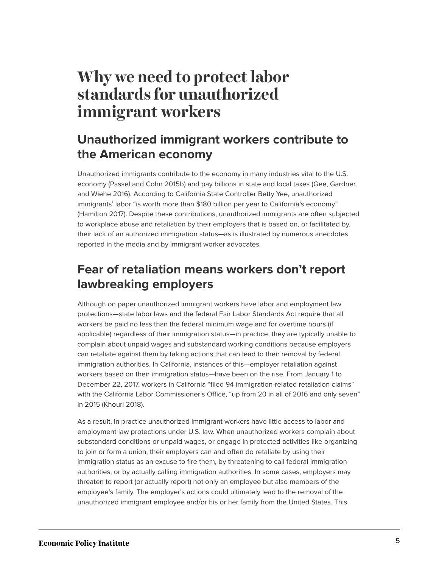# <span id="page-5-0"></span>**Why we need to protect labor standards for unauthorized immigrant workers**

### **Unauthorized immigrant workers contribute to the American economy**

Unauthorized immigrants contribute to the economy in many industries vital to the U.S. economy (Passel and Cohn 2015b) and pay billions in state and local taxes (Gee, Gardner, and Wiehe 2016). According to California State Controller Betty Yee, unauthorized immigrants' labor "is worth more than \$180 billion per year to California's economy" (Hamilton 2017). Despite these contributions, unauthorized immigrants are often subjected to workplace abuse and retaliation by their employers that is based on, or facilitated by, their lack of an authorized immigration status—as is illustrated by numerous anecdotes reported in the media and by immigrant worker advocates.

### **Fear of retaliation means workers don't report lawbreaking employers**

Although on paper unauthorized immigrant workers have labor and employment law protections—state labor laws and the federal Fair Labor Standards Act require that all workers be paid no less than the federal minimum wage and for overtime hours (if applicable) regardless of their immigration status—in practice, they are typically unable to complain about unpaid wages and substandard working conditions because employers can retaliate against them by taking actions that can lead to their removal by federal immigration authorities. In California, instances of this—employer retaliation against workers based on their immigration status—have been on the rise. From January 1 to December 22, 2017, workers in California "filed 94 immigration-related retaliation claims" with the California Labor Commissioner's Office, "up from 20 in all of 2016 and only seven" in 2015 (Khouri 2018).

As a result, in practice unauthorized immigrant workers have little access to labor and employment law protections under U.S. law. When unauthorized workers complain about substandard conditions or unpaid wages, or engage in protected activities like organizing to join or form a union, their employers can and often do retaliate by using their immigration status as an excuse to fire them, by threatening to call federal immigration authorities, or by actually calling immigration authorities. In some cases, employers may threaten to report (or actually report) not only an employee but also members of the employee's family. The employer's actions could ultimately lead to the removal of the unauthorized immigrant employee and/or his or her family from the United States. This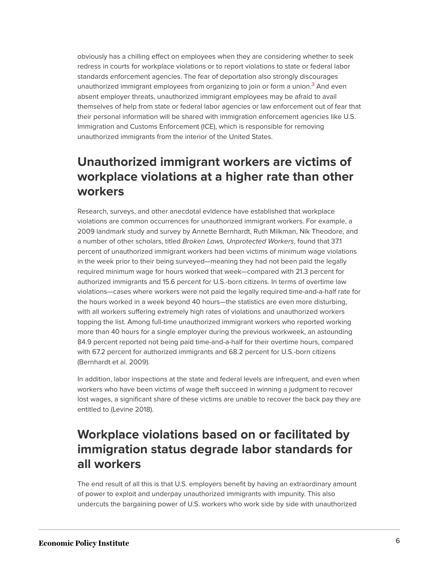<span id="page-6-0"></span>obviously has a chilling effect on employees when they are considering whether to seek redress in courts for workplace violations or to report violations to state or federal labor standards enforcement agencies. The fear of deportation also strongly discourages unauthorized immigrant employees from organizing to join or form a union.<sup>[3](#page-18-0)</sup> And even absent employer threats, unauthorized immigrant employees may be afraid to avail themselves of help from state or federal labor agencies or law enforcement out of fear that their personal information will be shared with immigration enforcement agencies like U.S. Immigration and Customs Enforcement (ICE), which is responsible for removing unauthorized immigrants from the interior of the United States.

### **Unauthorized immigrant workers are victims of workplace violations at a higher rate than other workers**

Research, surveys, and other anecdotal evidence have established that workplace violations are common occurrences for unauthorized immigrant workers. For example, a 2009 landmark study and survey by Annette Bernhardt, Ruth Milkman, Nik Theodore, and a number of other scholars, titled *Broken Laws, Unprotected Workers*, found that 37.1 percent of unauthorized immigrant workers had been victims of minimum wage violations in the week prior to their being surveyed—meaning they had not been paid the legally required minimum wage for hours worked that week—compared with 21.3 percent for authorized immigrants and 15.6 percent for U.S.-born citizens. In terms of overtime law violations—cases where workers were not paid the legally required time-and-a-half rate for the hours worked in a week beyond 40 hours—the statistics are even more disturbing, with all workers suffering extremely high rates of violations and unauthorized workers topping the list. Among full-time unauthorized immigrant workers who reported working more than 40 hours for a single employer during the previous workweek, an astounding 84.9 percent reported not being paid time-and-a-half for their overtime hours, compared with 67.2 percent for authorized immigrants and 68.2 percent for U.S.-born citizens (Bernhardt et al. 2009).

In addition, labor inspections at the state and federal levels are infrequent, and even when workers who have been victims of wage theft succeed in winning a judgment to recover lost wages, a significant share of these victims are unable to recover the back pay they are entitled to (Levine 2018).

### **Workplace violations based on or facilitated by immigration status degrade labor standards for all workers**

The end result of all this is that U.S. employers benefit by having an extraordinary amount of power to exploit and underpay unauthorized immigrants with impunity. This also undercuts the bargaining power of U.S. workers who work side by side with unauthorized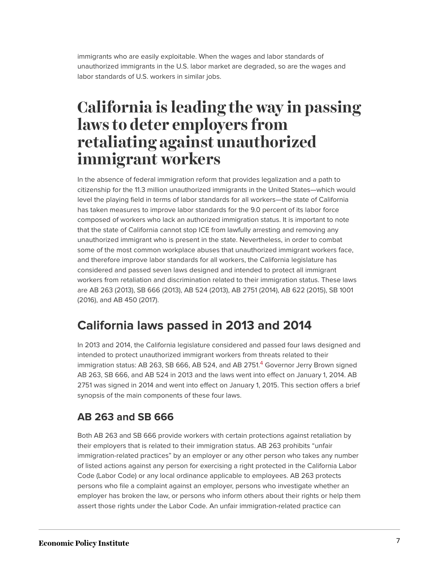immigrants who are easily exploitable. When the wages and labor standards of unauthorized immigrants in the U.S. labor market are degraded, so are the wages and labor standards of U.S. workers in similar jobs.

# <span id="page-7-0"></span>**California is leading the way in passing laws to deter employers from retaliating against unauthorized immigrant workers**

In the absence of federal immigration reform that provides legalization and a path to citizenship for the 11.3 million unauthorized immigrants in the United States—which would level the playing field in terms of labor standards for all workers—the state of California has taken measures to improve labor standards for the 9.0 percent of its labor force composed of workers who lack an authorized immigration status. It is important to note that the state of California cannot stop ICE from lawfully arresting and removing any unauthorized immigrant who is present in the state. Nevertheless, in order to combat some of the most common workplace abuses that unauthorized immigrant workers face, and therefore improve labor standards for all workers, the California legislature has considered and passed seven laws designed and intended to protect all immigrant workers from retaliation and discrimination related to their immigration status. These laws are AB 263 (2013), SB 666 (2013), AB 524 (2013), AB 2751 (2014), AB 622 (2015), SB 1001 (2016), and AB 450 (2017).

### **California laws passed in 2013 and 2014**

<span id="page-7-1"></span>In 2013 and 2014, the California legislature considered and passed four laws designed and intended to protect unauthorized immigrant workers from threats related to their immigration status: AB 263, SB 666, AB 52[4](#page-18-1), and AB 2751.<sup>4</sup> Governor Jerry Brown signed AB 263, SB 666, and AB 524 in 2013 and the laws went into effect on January 1, 2014. AB 2751 was signed in 2014 and went into effect on January 1, 2015. This section offers a brief synopsis of the main components of these four laws.

#### **AB 263 and SB 666**

Both AB 263 and SB 666 provide workers with certain protections against retaliation by their employers that is related to their immigration status. AB 263 prohibits "unfair immigration-related practices" by an employer or any other person who takes any number of listed actions against any person for exercising a right protected in the California Labor Code (Labor Code) or any local ordinance applicable to employees. AB 263 protects persons who file a complaint against an employer, persons who investigate whether an employer has broken the law, or persons who inform others about their rights or help them assert those rights under the Labor Code. An unfair immigration-related practice can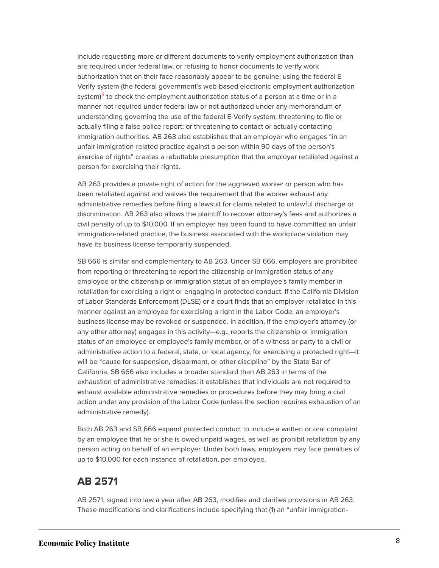<span id="page-8-0"></span>include requesting more or different documents to verify employment authorization than are required under federal law, or refusing to honor documents to verify work authorization that on their face reasonably appear to be genuine; using the federal E-Verify system (the federal government's web-based electronic employment authorization system)<sup>[5](#page-18-2)</sup> to check the employment authorization status of a person at a time or in a manner not required under federal law or not authorized under any memorandum of understanding governing the use of the federal E-Verify system; threatening to file or actually filing a false police report; or threatening to contact or actually contacting immigration authorities. AB 263 also establishes that an employer who engages "in an unfair immigration-related practice against a person within 90 days of the person's exercise of rights" creates a rebuttable presumption that the employer retaliated against a person for exercising their rights.

AB 263 provides a private right of action for the aggrieved worker or person who has been retaliated against and waives the requirement that the worker exhaust any administrative remedies before filing a lawsuit for claims related to unlawful discharge or discrimination. AB 263 also allows the plaintiff to recover attorney's fees and authorizes a civil penalty of up to \$10,000. If an employer has been found to have committed an unfair immigration-related practice, the business associated with the workplace violation may have its business license temporarily suspended.

SB 666 is similar and complementary to AB 263. Under SB 666, employers are prohibited from reporting or threatening to report the citizenship or immigration status of any employee or the citizenship or immigration status of an employee's family member in retaliation for exercising a right or engaging in protected conduct. If the California Division of Labor Standards Enforcement (DLSE) or a court finds that an employer retaliated in this manner against an employee for exercising a right in the Labor Code, an employer's business license may be revoked or suspended. In addition, if the employer's attorney (or any other attorney) engages in this activity—e.g., reports the citizenship or immigration status of an employee or employee's family member, or of a witness or party to a civil or administrative action to a federal, state, or local agency, for exercising a protected right—it will be "cause for suspension, disbarment, or other discipline" by the State Bar of California. SB 666 also includes a broader standard than AB 263 in terms of the exhaustion of administrative remedies: it establishes that individuals are not required to exhaust available administrative remedies or procedures before they may bring a civil action under any provision of the Labor Code (unless the section requires exhaustion of an administrative remedy).

Both AB 263 and SB 666 expand protected conduct to include a written or oral complaint by an employee that he or she is owed unpaid wages, as well as prohibit retaliation by any person acting on behalf of an employer. Under both laws, employers may face penalties of up to \$10,000 for each instance of retaliation, per employee.

#### **AB 2571**

AB 2571, signed into law a year after AB 263, modifies and clarifies provisions in AB 263. These modifications and clarifications include specifying that (1) an "unfair immigration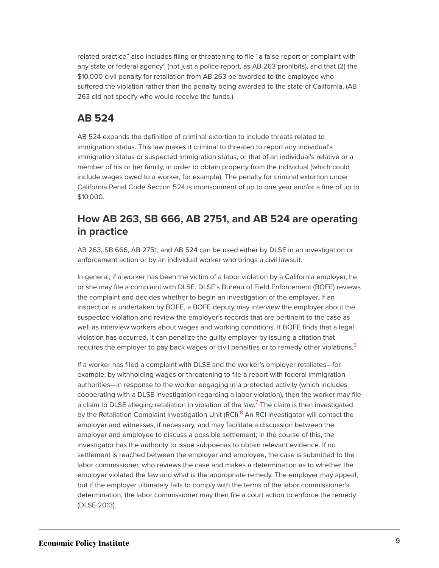related practice" also includes filing or threatening to file "a false report or complaint with any state or federal agency" (not just a police report, as AB 263 prohibits), and that (2) the \$10,000 civil penalty for retaliation from AB 263 be awarded to the employee who suffered the violation rather than the penalty being awarded to the state of California. (AB 263 did not specify who would receive the funds.)

#### **AB 524**

AB 524 expands the definition of criminal extortion to include threats related to immigration status. This law makes it criminal to threaten to report any individual's immigration status or suspected immigration status, or that of an individual's relative or a member of his or her family, in order to obtain property from the individual (which could include wages owed to a worker, for example). The penalty for criminal extortion under California Penal Code Section 524 is imprisonment of up to one year and/or a fine of up to \$10,000.

#### **How AB 263, SB 666, AB 2751, and AB 524 are operating in practice**

AB 263, SB 666, AB 2751, and AB 524 can be used either by DLSE in an investigation or enforcement action or by an individual worker who brings a civil lawsuit.

In general, if a worker has been the victim of a labor violation by a California employer, he or she may file a complaint with DLSE. DLSE's Bureau of Field Enforcement (BOFE) reviews the complaint and decides whether to begin an investigation of the employer. If an inspection is undertaken by BOFE, a BOFE deputy may interview the employer about the suspected violation and review the employer's records that are pertinent to the case as well as interview workers about wages and working conditions. If BOFE finds that a legal violation has occurred, it can penalize the guilty employer by issuing a citation that requires the employer to pay back wages or civil penalties or to remedy other violations.<sup>[6](#page-18-3)</sup>

<span id="page-9-2"></span><span id="page-9-1"></span><span id="page-9-0"></span>If a worker has filed a complaint with DLSE and the worker's employer retaliates—for example, by withholding wages or threatening to file a report with federal immigration authorities—in response to the worker engaging in a protected activity (which includes cooperating with a DLSE investigation regarding a labor violation), then the worker may file a claim to DLSE alleging retaliation in violation of the law.<sup>[7](#page-18-4)</sup> The claim is then investigated by the Retaliation Complaint Investigation Unit (RCI).<sup>[8](#page-18-5)</sup> An RCI investigator will contact the employer and witnesses, if necessary, and may facilitate a discussion between the employer and employee to discuss a possible settlement; in the course of this, the investigator has the authority to issue subpoenas to obtain relevant evidence. If no settlement is reached between the employer and employee, the case is submitted to the labor commissioner, who reviews the case and makes a determination as to whether the employer violated the law and what is the appropriate remedy. The employer may appeal, but if the employer ultimately fails to comply with the terms of the labor commissioner's determination, the labor commissioner may then file a court action to enforce the remedy (DLSE 2013).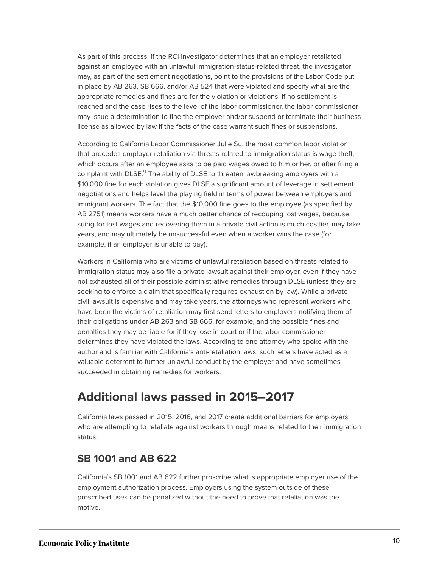As part of this process, if the RCI investigator determines that an employer retaliated against an employee with an unlawful immigration-status-related threat, the investigator may, as part of the settlement negotiations, point to the provisions of the Labor Code put in place by AB 263, SB 666, and/or AB 524 that were violated and specify what are the appropriate remedies and fines are for the violation or violations. If no settlement is reached and the case rises to the level of the labor commissioner, the labor commissioner may issue a determination to fine the employer and/or suspend or terminate their business license as allowed by law if the facts of the case warrant such fines or suspensions.

<span id="page-10-0"></span>According to California Labor Commissioner Julie Su, the most common labor violation that precedes employer retaliation via threats related to immigration status is wage theft, which occurs after an employee asks to be paid wages owed to him or her, or after filing a complaint with DLSE.<sup>[9](#page-18-6)</sup> The ability of DLSE to threaten lawbreaking employers with a \$10,000 fine for each violation gives DLSE a significant amount of leverage in settlement negotiations and helps level the playing field in terms of power between employers and immigrant workers. The fact that the \$10,000 fine goes to the employee (as specified by AB 2751) means workers have a much better chance of recouping lost wages, because suing for lost wages and recovering them in a private civil action is much costlier, may take years, and may ultimately be unsuccessful even when a worker wins the case (for example, if an employer is unable to pay).

Workers in California who are victims of unlawful retaliation based on threats related to immigration status may also file a private lawsuit against their employer, even if they have not exhausted all of their possible administrative remedies through DLSE (unless they are seeking to enforce a claim that specifically requires exhaustion by law). While a private civil lawsuit is expensive and may take years, the attorneys who represent workers who have been the victims of retaliation may first send letters to employers notifying them of their obligations under AB 263 and SB 666, for example, and the possible fines and penalties they may be liable for if they lose in court or if the labor commissioner determines they have violated the laws. According to one attorney who spoke with the author and is familiar with California's anti-retaliation laws, such letters have acted as a valuable deterrent to further unlawful conduct by the employer and have sometimes succeeded in obtaining remedies for workers.

### **Additional laws passed in 2015–2017**

California laws passed in 2015, 2016, and 2017 create additional barriers for employers who are attempting to retaliate against workers through means related to their immigration status.

#### **SB 1001 and AB 622**

California's SB 1001 and AB 622 further proscribe what is appropriate employer use of the employment authorization process. Employers using the system outside of these proscribed uses can be penalized without the need to prove that retaliation was the motive.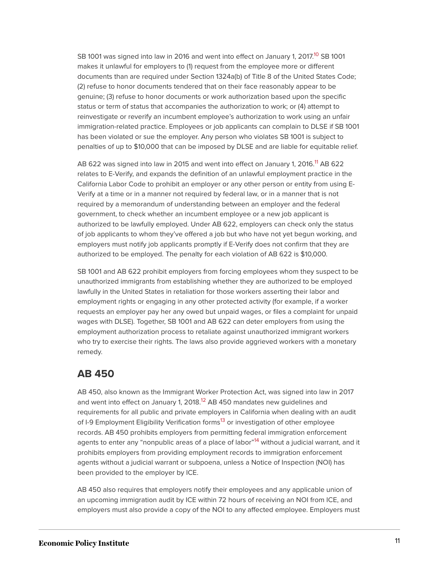<span id="page-11-0"></span>SB 1001 was signed into law in 2016 and went into effect on January 1, 2017. [10](#page-18-7) SB 1001 makes it unlawful for employers to (1) request from the employee more or different documents than are required under Section 1324a(b) of Title 8 of the United States Code; (2) refuse to honor documents tendered that on their face reasonably appear to be genuine; (3) refuse to honor documents or work authorization based upon the specific status or term of status that accompanies the authorization to work; or (4) attempt to reinvestigate or reverify an incumbent employee's authorization to work using an unfair immigration-related practice. Employees or job applicants can complain to DLSE if SB 1001 has been violated or sue the employer. Any person who violates SB 1001 is subject to penalties of up to \$10,000 that can be imposed by DLSE and are liable for equitable relief.

<span id="page-11-1"></span>AB 622 was signed into law in 2015 and went into effect on January 1, 2016.<sup>[11](#page-18-8)</sup> AB 622 relates to E-Verify, and expands the definition of an unlawful employment practice in the California Labor Code to prohibit an employer or any other person or entity from using E-Verify at a time or in a manner not required by federal law, or in a manner that is not required by a memorandum of understanding between an employer and the federal government, to check whether an incumbent employee or a new job applicant is authorized to be lawfully employed. Under AB 622, employers can check only the status of job applicants to whom they've offered a job but who have not yet begun working, and employers must notify job applicants promptly if E-Verify does not confirm that they are authorized to be employed. The penalty for each violation of AB 622 is \$10,000.

SB 1001 and AB 622 prohibit employers from forcing employees whom they suspect to be unauthorized immigrants from establishing whether they are authorized to be employed lawfully in the United States in retaliation for those workers asserting their labor and employment rights or engaging in any other protected activity (for example, if a worker requests an employer pay her any owed but unpaid wages, or files a complaint for unpaid wages with DLSE). Together, SB 1001 and AB 622 can deter employers from using the employment authorization process to retaliate against unauthorized immigrant workers who try to exercise their rights. The laws also provide aggrieved workers with a monetary remedy.

#### **AB 450**

<span id="page-11-4"></span><span id="page-11-3"></span><span id="page-11-2"></span>AB 450, also known as the Immigrant Worker Protection Act, was signed into law in 2017 and went into effect on January 1, 2018.<sup>[12](#page-18-9)</sup> AB 450 mandates new guidelines and requirements for all public and private employers in California when dealing with an audit of I-9 Employment Eligibility Verification forms<sup>[13](#page-18-10)</sup> or investigation of other employee records. AB 450 prohibits employers from permitting federal immigration enforcement agents to enter any "nonpublic areas of a place of labor"<sup>[14](#page-18-11)</sup> without a judicial warrant, and it prohibits employers from providing employment records to immigration enforcement agents without a judicial warrant or subpoena, unless a Notice of Inspection (NOI) has been provided to the employer by ICE.

AB 450 also requires that employers notify their employees and any applicable union of an upcoming immigration audit by ICE within 72 hours of receiving an NOI from ICE, and employers must also provide a copy of the NOI to any affected employee. Employers must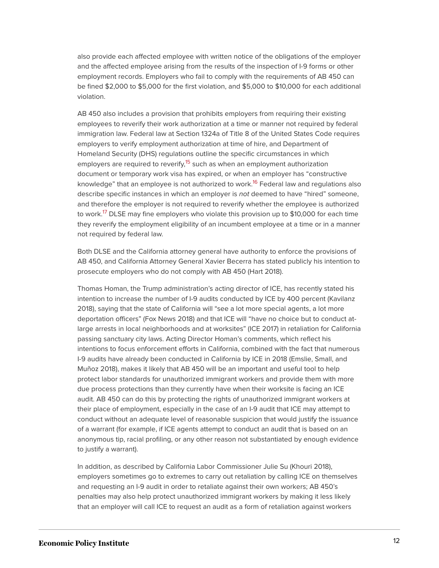also provide each affected employee with written notice of the obligations of the employer and the affected employee arising from the results of the inspection of I-9 forms or other employment records. Employers who fail to comply with the requirements of AB 450 can be fined \$2,000 to \$5,000 for the first violation, and \$5,000 to \$10,000 for each additional violation.

<span id="page-12-1"></span><span id="page-12-0"></span>AB 450 also includes a provision that prohibits employers from requiring their existing employees to reverify their work authorization at a time or manner not required by federal immigration law. Federal law at Section 1324a of Title 8 of the United States Code requires employers to verify employment authorization at time of hire, and Department of Homeland Security (DHS) regulations outline the specific circumstances in which employers are required to reverify,<sup>[15](#page-18-12)</sup> such as when an employment authorization document or temporary work visa has expired, or when an employer has "constructive knowledge" that an employee is not authorized to work.<sup>[16](#page-18-13)</sup> Federal law and regulations also describe specific instances in which an employer is *not* deemed to have "hired" someone, and therefore the employer is not required to reverify whether the employee is authorized to work.<sup>[17](#page-18-14)</sup> DLSE may fine employers who violate this provision up to \$10,000 for each time they reverify the employment eligibility of an incumbent employee at a time or in a manner not required by federal law.

<span id="page-12-2"></span>Both DLSE and the California attorney general have authority to enforce the provisions of AB 450, and California Attorney General Xavier Becerra has stated publicly his intention to prosecute employers who do not comply with AB 450 (Hart 2018).

Thomas Homan, the Trump administration's acting director of ICE, has recently stated his intention to increase the number of I-9 audits conducted by ICE by 400 percent (Kavilanz 2018), saying that the state of California will "see a lot more special agents, a lot more deportation officers" (Fox News 2018) and that ICE will "have no choice but to conduct atlarge arrests in local neighborhoods and at worksites" (ICE 2017) in retaliation for California passing sanctuary city laws. Acting Director Homan's comments, which reflect his intentions to focus enforcement efforts in California, combined with the fact that numerous I-9 audits have already been conducted in California by ICE in 2018 (Emslie, Small, and Muñoz 2018), makes it likely that AB 450 will be an important and useful tool to help protect labor standards for unauthorized immigrant workers and provide them with more due process protections than they currently have when their worksite is facing an ICE audit. AB 450 can do this by protecting the rights of unauthorized immigrant workers at their place of employment, especially in the case of an I-9 audit that ICE may attempt to conduct without an adequate level of reasonable suspicion that would justify the issuance of a warrant (for example, if ICE agents attempt to conduct an audit that is based on an anonymous tip, racial profiling, or any other reason not substantiated by enough evidence to justify a warrant).

In addition, as described by California Labor Commissioner Julie Su (Khouri 2018), employers sometimes go to extremes to carry out retaliation by calling ICE on themselves and requesting an I-9 audit in order to retaliate against their own workers; AB 450's penalties may also help protect unauthorized immigrant workers by making it less likely that an employer will call ICE to request an audit as a form of retaliation against workers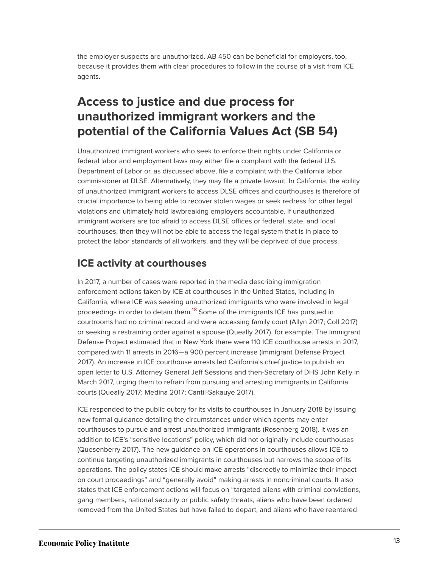the employer suspects are unauthorized. AB 450 can be beneficial for employers, too, because it provides them with clear procedures to follow in the course of a visit from ICE agents.

### **Access to justice and due process for unauthorized immigrant workers and the potential of the California Values Act (SB 54)**

Unauthorized immigrant workers who seek to enforce their rights under California or federal labor and employment laws may either file a complaint with the federal U.S. Department of Labor or, as discussed above, file a complaint with the California labor commissioner at DLSE. Alternatively, they may file a private lawsuit. In California, the ability of unauthorized immigrant workers to access DLSE offices and courthouses is therefore of crucial importance to being able to recover stolen wages or seek redress for other legal violations and ultimately hold lawbreaking employers accountable. If unauthorized immigrant workers are too afraid to access DLSE offices or federal, state, and local courthouses, then they will not be able to access the legal system that is in place to protect the labor standards of all workers, and they will be deprived of due process.

#### **ICE activity at courthouses**

<span id="page-13-0"></span>In 2017, a number of cases were reported in the media describing immigration enforcement actions taken by ICE at courthouses in the United States, including in California, where ICE was seeking unauthorized immigrants who were involved in legal proceedings in order to detain them.<sup>[18](#page-18-15)</sup> Some of the immigrants ICE has pursued in courtrooms had no criminal record and were accessing family court (Allyn 2017; Coll 2017) or seeking a restraining order against a spouse (Queally 2017), for example. The Immigrant Defense Project estimated that in New York there were 110 ICE courthouse arrests in 2017, compared with 11 arrests in 2016—a 900 percent increase (Immigrant Defense Project 2017). An increase in ICE courthouse arrests led California's chief justice to publish an open letter to U.S. Attorney General Jeff Sessions and then-Secretary of DHS John Kelly in March 2017, urging them to refrain from pursuing and arresting immigrants in California courts (Queally 2017; Medina 2017; Cantil-Sakauye 2017).

ICE responded to the public outcry for its visits to courthouses in January 2018 by issuing new formal guidance detailing the circumstances under which agents may enter courthouses to pursue and arrest unauthorized immigrants (Rosenberg 2018). It was an addition to ICE's "sensitive locations" policy, which did not originally include courthouses (Quesenberry 2017). The new guidance on ICE operations in courthouses allows ICE to continue targeting unauthorized immigrants in courthouses but narrows the scope of its operations. The policy states ICE should make arrests "discreetly to minimize their impact on court proceedings" and "generally avoid" making arrests in noncriminal courts. It also states that ICE enforcement actions will focus on "targeted aliens with criminal convictions, gang members, national security or public safety threats, aliens who have been ordered removed from the United States but have failed to depart, and aliens who have reentered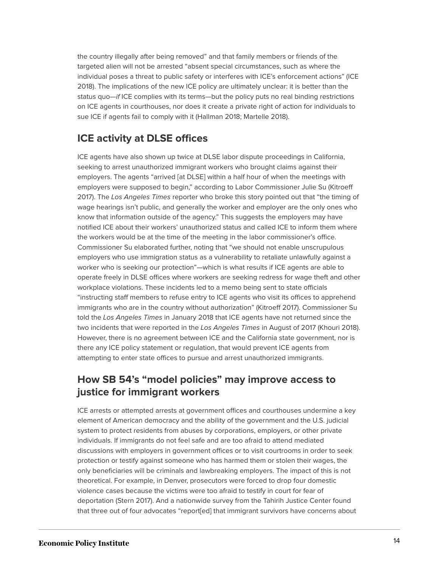the country illegally after being removed" and that family members or friends of the targeted alien will not be arrested "absent special circumstances, such as where the individual poses a threat to public safety or interferes with ICE's enforcement actions" (ICE 2018). The implications of the new ICE policy are ultimately unclear: it is better than the status quo—*if* ICE complies with its terms—but the policy puts no real binding restrictions on ICE agents in courthouses, nor does it create a private right of action for individuals to sue ICE if agents fail to comply with it (Hallman 2018; Martelle 2018).

#### **ICE activity at DLSE offices**

ICE agents have also shown up twice at DLSE labor dispute proceedings in California, seeking to arrest unauthorized immigrant workers who brought claims against their employers. The agents "arrived [at DLSE] within a half hour of when the meetings with employers were supposed to begin," according to Labor Commissioner Julie Su (Kitroeff 2017). The *Los Angeles Times* reporter who broke this story pointed out that "the timing of wage hearings isn't public, and generally the worker and employer are the only ones who know that information outside of the agency." This suggests the employers may have notified ICE about their workers' unauthorized status and called ICE to inform them where the workers would be at the time of the meeting in the labor commissioner's office. Commissioner Su elaborated further, noting that "we should not enable unscrupulous employers who use immigration status as a vulnerability to retaliate unlawfully against a worker who is seeking our protection"—which is what results if ICE agents are able to operate freely in DLSE offices where workers are seeking redress for wage theft and other workplace violations. These incidents led to a memo being sent to state officials "instructing staff members to refuse entry to ICE agents who visit its offices to apprehend immigrants who are in the country without authorization" (Kitroeff 2017). Commissioner Su told the *Los Angeles Times* in January 2018 that ICE agents have not returned since the two incidents that were reported in the *Los Angeles Times* in August of 2017 (Khouri 2018). However, there is no agreement between ICE and the California state government, nor is there any ICE policy statement or regulation, that would prevent ICE agents from attempting to enter state offices to pursue and arrest unauthorized immigrants.

#### **How SB 54's "model policies" may improve access to justice for immigrant workers**

ICE arrests or attempted arrests at government offices and courthouses undermine a key element of American democracy and the ability of the government and the U.S. judicial system to protect residents from abuses by corporations, employers, or other private individuals. If immigrants do not feel safe and are too afraid to attend mediated discussions with employers in government offices or to visit courtrooms in order to seek protection or testify against someone who has harmed them or stolen their wages, the only beneficiaries will be criminals and lawbreaking employers. The impact of this is not theoretical. For example, in Denver, prosecutors were forced to drop four domestic violence cases because the victims were too afraid to testify in court for fear of deportation (Stern 2017). And a nationwide survey from the Tahirih Justice Center found that three out of four advocates "report[ed] that immigrant survivors have concerns about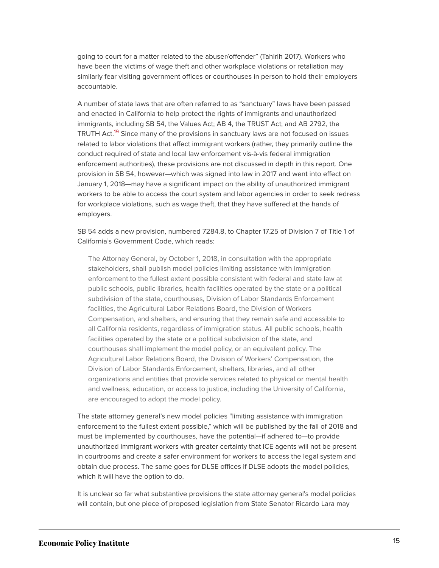going to court for a matter related to the abuser/offender" (Tahirih 2017). Workers who have been the victims of wage theft and other workplace violations or retaliation may similarly fear visiting government offices or courthouses in person to hold their employers accountable.

<span id="page-15-0"></span>A number of state laws that are often referred to as "sanctuary" laws have been passed and enacted in California to help protect the rights of immigrants and unauthorized immigrants, including SB 54, the Values Act; AB 4, the TRUST Act; and AB 2792, the TRUTH Act.<sup>[19](#page-18-16)</sup> Since many of the provisions in sanctuary laws are not focused on issues related to labor violations that affect immigrant workers (rather, they primarily outline the conduct required of state and local law enforcement vis-à-vis federal immigration enforcement authorities), these provisions are not discussed in depth in this report. One provision in SB 54, however—which was signed into law in 2017 and went into effect on January 1, 2018—may have a significant impact on the ability of unauthorized immigrant workers to be able to access the court system and labor agencies in order to seek redress for workplace violations, such as wage theft, that they have suffered at the hands of employers.

SB 54 adds a new provision, numbered 7284.8, to Chapter 17.25 of Division 7 of Title 1 of California's Government Code, which reads:

The Attorney General, by October 1, 2018, in consultation with the appropriate stakeholders, shall publish model policies limiting assistance with immigration enforcement to the fullest extent possible consistent with federal and state law at public schools, public libraries, health facilities operated by the state or a political subdivision of the state, courthouses, Division of Labor Standards Enforcement facilities, the Agricultural Labor Relations Board, the Division of Workers Compensation, and shelters, and ensuring that they remain safe and accessible to all California residents, regardless of immigration status. All public schools, health facilities operated by the state or a political subdivision of the state, and courthouses shall implement the model policy, or an equivalent policy. The Agricultural Labor Relations Board, the Division of Workers' Compensation, the Division of Labor Standards Enforcement, shelters, libraries, and all other organizations and entities that provide services related to physical or mental health and wellness, education, or access to justice, including the University of California, are encouraged to adopt the model policy.

The state attorney general's new model policies "limiting assistance with immigration enforcement to the fullest extent possible," which will be published by the fall of 2018 and must be implemented by courthouses, have the potential—if adhered to—to provide unauthorized immigrant workers with greater certainty that ICE agents will not be present in courtrooms and create a safer environment for workers to access the legal system and obtain due process. The same goes for DLSE offices if DLSE adopts the model policies, which it will have the option to do.

It is unclear so far what substantive provisions the state attorney general's model policies will contain, but one piece of proposed legislation from State Senator Ricardo Lara may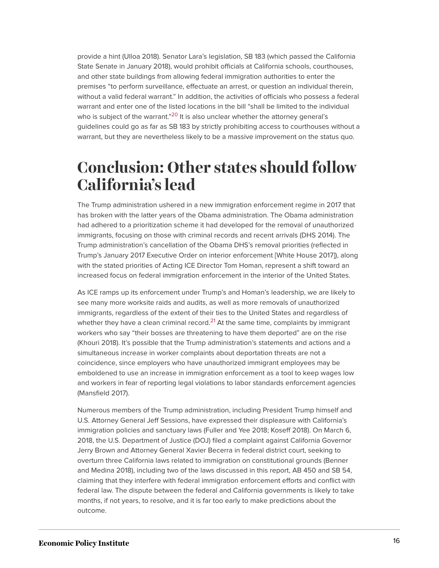provide a hint (Ulloa 2018). Senator Lara's legislation, SB 183 (which passed the California State Senate in January 2018), would prohibit officials at California schools, courthouses, and other state buildings from allowing federal immigration authorities to enter the premises "to perform surveillance, effectuate an arrest, or question an individual therein, without a valid federal warrant." In addition, the activities of officials who possess a federal warrant and enter one of the listed locations in the bill "shall be limited to the individual who is subject of the warrant."<sup>[20](#page-18-17)</sup> It is also unclear whether the attorney general's guidelines could go as far as SB 183 by strictly prohibiting access to courthouses without a warrant, but they are nevertheless likely to be a massive improvement on the status quo.

### <span id="page-16-1"></span><span id="page-16-0"></span>**Conclusion: Other states should follow California's lead**

The Trump administration ushered in a new immigration enforcement regime in 2017 that has broken with the latter years of the Obama administration. The Obama administration had adhered to a prioritization scheme it had developed for the removal of unauthorized immigrants, focusing on those with criminal records and recent arrivals (DHS 2014). The Trump administration's cancellation of the Obama DHS's removal priorities (reflected in Trump's January 2017 Executive Order on interior enforcement [White House 2017]), along with the stated priorities of Acting ICE Director Tom Homan, represent a shift toward an increased focus on federal immigration enforcement in the interior of the United States.

<span id="page-16-2"></span>As ICE ramps up its enforcement under Trump's and Homan's leadership, we are likely to see many more worksite raids and audits, as well as more removals of unauthorized immigrants, regardless of the extent of their ties to the United States and regardless of whether they have a clean criminal record. $^{21}$  $^{21}$  $^{21}$  At the same time, complaints by immigrant workers who say "their bosses are threatening to have them deported" are on the rise (Khouri 2018). It's possible that the Trump administration's statements and actions and a simultaneous increase in worker complaints about deportation threats are not a coincidence, since employers who have unauthorized immigrant employees may be emboldened to use an increase in immigration enforcement as a tool to keep wages low and workers in fear of reporting legal violations to labor standards enforcement agencies (Mansfield 2017).

Numerous members of the Trump administration, including President Trump himself and U.S. Attorney General Jeff Sessions, have expressed their displeasure with California's immigration policies and sanctuary laws (Fuller and Yee 2018; Koseff 2018). On March 6, 2018, the U.S. Department of Justice (DOJ) filed a complaint against California Governor Jerry Brown and Attorney General Xavier Becerra in federal district court, seeking to overturn three California laws related to immigration on constitutional grounds (Benner and Medina 2018), including two of the laws discussed in this report, AB 450 and SB 54, claiming that they interfere with federal immigration enforcement efforts and conflict with federal law. The dispute between the federal and California governments is likely to take months, if not years, to resolve, and it is far too early to make predictions about the outcome.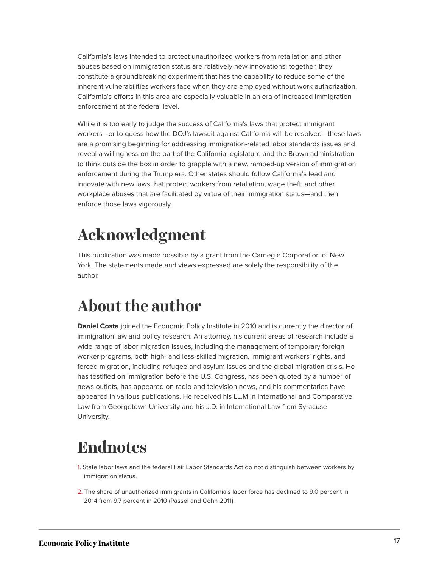California's laws intended to protect unauthorized workers from retaliation and other abuses based on immigration status are relatively new innovations; together, they constitute a groundbreaking experiment that has the capability to reduce some of the inherent vulnerabilities workers face when they are employed without work authorization. California's efforts in this area are especially valuable in an era of increased immigration enforcement at the federal level.

While it is too early to judge the success of California's laws that protect immigrant workers—or to guess how the DOJ's lawsuit against California will be resolved—these laws are a promising beginning for addressing immigration-related labor standards issues and reveal a willingness on the part of the California legislature and the Brown administration to think outside the box in order to grapple with a new, ramped-up version of immigration enforcement during the Trump era. Other states should follow California's lead and innovate with new laws that protect workers from retaliation, wage theft, and other workplace abuses that are facilitated by virtue of their immigration status—and then enforce those laws vigorously.

# <span id="page-17-0"></span>**Acknowledgment**

This publication was made possible by a grant from the Carnegie Corporation of New York. The statements made and views expressed are solely the responsibility of the author.

# <span id="page-17-1"></span>**About the author**

**Daniel Costa** joined the Economic Policy Institute in 2010 and is currently the director of immigration law and policy research. An attorney, his current areas of research include a wide range of labor migration issues, including the management of temporary foreign worker programs, both high- and less-skilled migration, immigrant workers' rights, and forced migration, including refugee and asylum issues and the global migration crisis. He has testified on immigration before the U.S. Congress, has been quoted by a number of news outlets, has appeared on radio and television news, and his commentaries have appeared in various publications. He received his LL.M in International and Comparative Law from Georgetown University and his J.D. in International Law from Syracuse University.

# <span id="page-17-2"></span>**Endnotes**

- <span id="page-17-3"></span>[1.](#page-1-1) State labor laws and the federal Fair Labor Standards Act do not distinguish between workers by immigration status.
- <span id="page-17-4"></span>[2.](#page-4-1) The share of unauthorized immigrants in California's labor force has declined to 9.0 percent in 2014 from 9.7 percent in 2010 (Passel and Cohn 2011).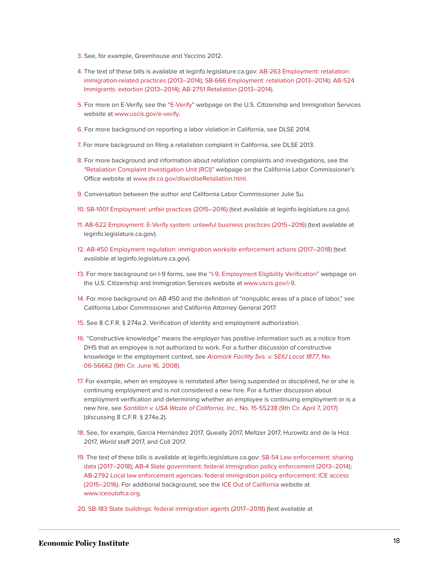- <span id="page-18-0"></span>[3.](#page-6-0) See, for example, Greenhouse and Yaccino 2012.
- <span id="page-18-1"></span>[4.](#page-7-1) The text of these bills is available at leginfo.legislature.ca.gov: [AB-263 Employment: retaliation:](https://leginfo.legislature.ca.gov/faces/billNavClient.xhtml?bill_id=201320140AB263) [immigration-related practices \(2013–2014\);](https://leginfo.legislature.ca.gov/faces/billNavClient.xhtml?bill_id=201320140AB263) [SB-666 Employment: retaliation \(2013–2014\)](https://leginfo.legislature.ca.gov/faces/billNavClient.xhtml?bill_id=201320140SB666); [AB-524](https://leginfo.legislature.ca.gov/faces/billNavClient.xhtml?bill_id=201320140AB524) [Immigrants: extortion \(2013–2014\);](https://leginfo.legislature.ca.gov/faces/billNavClient.xhtml?bill_id=201320140AB524) [AB-2751 Retaliation \(2013–2014\)](https://leginfo.legislature.ca.gov/faces/billNavClient.xhtml?bill_id=201320140AB2751).
- <span id="page-18-2"></span>[5.](#page-8-0) For more on E-Verify, see the "[E-Verify"](https://www.uscis.gov/e-verify) webpage on the U.S. Citizenship and Immigration Services website at [www.uscis.gov/e-verify.](www.uscis.gov/e-verify)
- <span id="page-18-3"></span>[6.](#page-9-0) For more background on reporting a labor violation in California, see DLSE 2014.
- <span id="page-18-4"></span>[7.](#page-9-1) For more background on filing a retaliation complaint in California, see DLSE 2013.
- <span id="page-18-5"></span>[8.](#page-9-2) For more background and information about retaliation complaints and investigations, see the "[Retaliation Complaint Investigation Unit \(RCI\)](http://www.dir.ca.gov/dlse/dlseRetaliation.html)" webpage on the California Labor Commissioner's Office website at [www.dir.ca.gov/dlse/dlseRetaliation.html](https://www.dir.ca.gov/dlse/dlseRetaliation.html).
- <span id="page-18-6"></span>[9.](#page-10-0) Conversation between the author and California Labor Commissioner Julie Su.
- <span id="page-18-7"></span>[10.](#page-11-0) [SB-1001 Employment: unfair practices \(2015–2016\)](https://leginfo.legislature.ca.gov/faces/billTextClient.xhtml?bill_id=201520160SB1001) (text available at leginfo.legislature.ca.gov).
- <span id="page-18-8"></span>[11.](#page-11-1) [AB-622 Employment: E-Verify system: unlawful business practices \(2015–2016\)](https://leginfo.legislature.ca.gov/faces/billNavClient.xhtml?bill_id=201520160AB622) (text available at leginfo.legislature.ca.gov).
- <span id="page-18-9"></span>[12.](#page-11-2) [AB-450 Employment regulation: immigration worksite enforcement actions \(2017–2018\)](https://leginfo.legislature.ca.gov/faces/billTextClient.xhtml?bill_id=201720180AB450) (text available at leginfo.legislature.ca.gov).
- <span id="page-18-10"></span>[13.](#page-11-3) For more background on I-9 forms, see the ["I-9, Employment Eligibility Verification"](http://www.uscis.gov/i-9) webpage on the U.S. Citizenship and Immigration Services website at [www.uscis.gov/i-9.](http://www.uscis.gov/i-9)
- <span id="page-18-11"></span>[14.](#page-11-4) For more background on AB 450 and the definition of "nonpublic areas of a place of labor," see California Labor Commissioner and California Attorney General 2017.
- <span id="page-18-12"></span>[15.](#page-12-0) See 8 C.F.R. § 274a.2. Verification of identity and employment authorization.
- <span id="page-18-13"></span>[16.](#page-12-1) "Constructive knowledge" means the employer has positive information such as a notice from DHS that an employee is not authorized to work. For a further discussion of constructive knowledge in the employment context, see *[Aramark Facility Svs. v. SEIU Local 1877](https://www.nilc.org/wp-content/uploads/2015/12/Aramark.pdf)*, No. [06-56662 \(9th Cir. June 16, 2008\).](https://www.nilc.org/wp-content/uploads/2015/12/Aramark.pdf)
- <span id="page-18-14"></span>[17.](#page-12-2) For example, when an employee is reinstated after being suspended or disciplined, he or she is continuing employment and is not considered a new hire. For a further discussion about employment verification and determining whether an employee is continuing employment or is a new hire, see *[Santillan v. USA Waste of California, Inc.](https://cdn.ca9.uscourts.gov/datastore/opinions/2017/04/07/15-55238.pdf)*, No. 15-55238 (9th Cir. April 7, 2017) (discussing 8 C.F.R. § 274a.2).
- <span id="page-18-15"></span>[18.](#page-13-0) See, for example, García Hernández 2017, Queally 2017, Meltzer 2017, Hurowitz and de la Hoz 2017, *World* staff 2017, and Coll 2017.
- <span id="page-18-16"></span>[19.](#page-15-0) The text of these bills is available at leginfo.legislature.ca.gov: [SB-54 Law enforcement: sharing](https://leginfo.legislature.ca.gov/faces/billNavClient.xhtml?bill_id=201720180SB54) [data \(2017–2018\)](https://leginfo.legislature.ca.gov/faces/billNavClient.xhtml?bill_id=201720180SB54); [AB-4 State government: federal immigration policy enforcement \(2013–2014\);](https://leginfo.legislature.ca.gov/faces/billNavClient.xhtml?bill_id=201320140AB4) [AB-2792 Local law enforcement agencies: federal immigration policy enforcement: ICE access](https://leginfo.legislature.ca.gov/faces/billNavClient.xhtml?bill_id=201520160AB2792) [\(2015–2016\)](https://leginfo.legislature.ca.gov/faces/billNavClient.xhtml?bill_id=201520160AB2792). For additional background, see the [ICE Out of California](http://www.iceoutofca.org/) website at [www.iceoutofca.org](http://www.iceoutofca.org/).
- <span id="page-18-17"></span>[20.](#page-16-1) [SB-183 State buildings: federal immigration agents \(2017–2018\)](https://leginfo.legislature.ca.gov/faces/billTextClient.xhtml?bill_id=201720180SB183) (text available at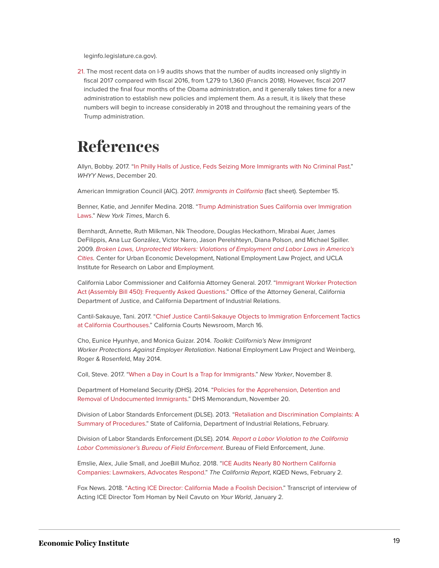leginfo.legislature.ca.gov).

<span id="page-19-1"></span>[21.](#page-16-2) The most recent data on I-9 audits shows that the number of audits increased only slightly in fiscal 2017 compared with fiscal 2016, from 1,279 to 1,360 (Francis 2018). However, fiscal 2017 included the final four months of the Obama administration, and it generally takes time for a new administration to establish new policies and implement them. As a result, it is likely that these numbers will begin to increase considerably in 2018 and throughout the remaining years of the Trump administration.

## <span id="page-19-0"></span>**References**

Allyn, Bobby. 2017. "[In Philly Halls of Justice, Feds Seizing More Immigrants with No Criminal Past.](https://whyy.org/segments/philly-halls-justice-feds-seizing-immigrants-no-criminal-past/)" *WHYY News*, December 20.

American Immigration Council (AIC). 2017. *[Immigrants in California](https://www.americanimmigrationcouncil.org/research/immigrants-california)* (fact sheet). September 15.

Benner, Katie, and Jennifer Medina. 2018. "[Trump Administration Sues California over Immigration](https://www.nytimes.com/2018/03/06/us/politics/justice-department-california-sanctuary-cities.html) [Laws.](https://www.nytimes.com/2018/03/06/us/politics/justice-department-california-sanctuary-cities.html)" *New York Times*, March 6.

Bernhardt, Annette, Ruth Milkman, Nik Theodore, Douglas Heckathorn, Mirabai Auer, James DeFilippis, Ana Luz González, Victor Narro, Jason Perelshteyn, Diana Polson, and Michael Spiller. 2009. *[Broken Laws, Unprotected Workers: Violations of Employment and Labor Laws in America's](http://www.nelp.org/content/uploads/2015/03/BrokenLawsReport2009.pdf) [Cities](http://www.nelp.org/content/uploads/2015/03/BrokenLawsReport2009.pdf).* Center for Urban Economic Development, National Employment Law Project, and UCLA Institute for Research on Labor and Employment.

California Labor Commissioner and California Attorney General. 2017. ["Immigrant Worker Protection](http://www.dir.ca.gov/dlse/AB_450_QA.pdf) [Act \(Assembly Bill 450\): Frequently Asked Questions.](http://www.dir.ca.gov/dlse/AB_450_QA.pdf)" Office of the Attorney General, California Department of Justice, and California Department of Industrial Relations.

Cantil-Sakauye, Tani. 2017. ["Chief Justice Cantil-Sakauye Objects to Immigration Enforcement Tactics](https://newsroom.courts.ca.gov/news/chief-justice-cantil-sakauye-objects-to-immigration-enforcement-tactics-at-california-courthouses) [at California Courthouses.](https://newsroom.courts.ca.gov/news/chief-justice-cantil-sakauye-objects-to-immigration-enforcement-tactics-at-california-courthouses)" California Courts Newsroom, March 16.

Cho, Eunice Hyunhye, and Monica Guizar. 2014. *Toolkit: California's New Immigrant Worker Protections Against Employer Retaliation*. National Employment Law Project and Weinberg, Roger & Rosenfeld, May 2014.

Coll, Steve. 2017. "[When a Day in Court Is a Trap for Immigrants](https://www.newyorker.com/news/daily-comment/when-a-day-in-court-is-a-trap-for-immigrants)." *New Yorker*, November 8.

Department of Homeland Security (DHS). 2014. ["Policies for the Apprehension, Detention and](https://www.dhs.gov/sites/default/files/publications/14_1120_memo_prosecutorial_discretion.pdf) [Removal of Undocumented Immigrants](https://www.dhs.gov/sites/default/files/publications/14_1120_memo_prosecutorial_discretion.pdf)." DHS Memorandum, November 20.

Division of Labor Standards Enforcement (DLSE). 2013. "[Retaliation and Discrimination Complaints: A](https://www.dir.ca.gov/dlse/RetaliationComplaint.pdf) [Summary of Procedures.](https://www.dir.ca.gov/dlse/RetaliationComplaint.pdf)" State of California, Department of Industrial Relations, February.

Division of Labor Standards Enforcement (DLSE). 2014. *[Report a Labor Violation to the California](https://www.dir.ca.gov/dlse/Brochure-BOFE_WEB-EN.pdf) [Labor Commissioner's Bureau of Field Enforcement](https://www.dir.ca.gov/dlse/Brochure-BOFE_WEB-EN.pdf)*. Bureau of Field Enforcement, June.

Emslie, Alex, Julie Small, and JoeBill Muñoz. 2018. ["ICE Audits Nearly 80 Northern California](https://ww2.kqed.org/news/2018/02/02/ice-audits-nearly-80-northern-california-companies-lawmakers-advocates-respond/) [Companies: Lawmakers, Advocates Respond.](https://ww2.kqed.org/news/2018/02/02/ice-audits-nearly-80-northern-california-companies-lawmakers-advocates-respond/)" *The California Report*, KQED News, February 2.

Fox News. 2018. ["Acting ICE Director: California Made a Foolish Decision.](http://www.foxnews.com/transcript/2018/01/02/acting-ice-director-california-made-foolish-decision.html)" Transcript of interview of Acting ICE Director Tom Homan by Neil Cavuto on *Your World*, January 2.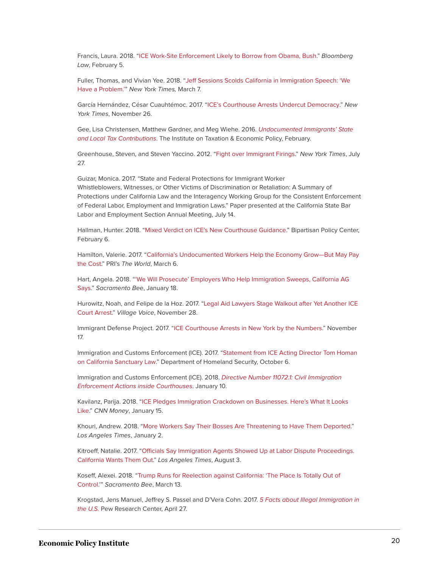Francis, Laura. 2018. "[ICE Work-Site Enforcement Likely to Borrow from Obama, Bush](https://bnanews.bna.com/daily-labor-report/ice-work-site-enforcement-likely-to-borrow-from-obama-bush)." *Bloomberg Law*, February 5.

Fuller, Thomas, and Vivian Yee. 2018. ["Jeff Sessions Scolds California in Immigration Speech: 'We](https://www.nytimes.com/2018/03/07/us/sessions-california-immigration.html) [Have a Problem.'](https://www.nytimes.com/2018/03/07/us/sessions-california-immigration.html)" *New York Times,* March 7.

García Hernández, César Cuauhtémoc. 2017. ["ICE's Courthouse Arrests Undercut Democracy.](https://www.nytimes.com/2017/11/26/opinion/immigration-ice-courthouse-trump.html)" *New York Times*, November 26.

Gee, Lisa Christensen, Matthew Gardner, and Meg Wiehe. 2016. *[Undocumented Immigrants' State](https://itep.org/wp-content/uploads/immigration2016.pdf) [and Local Tax Contributions](https://itep.org/wp-content/uploads/immigration2016.pdf)*. The Institute on Taxation & Economic Policy, February.

Greenhouse, Steven, and Steven Yaccino. 2012. ["Fight over Immigrant Firings](https://www.nytimes.com/2012/07/28/business/striking-palermos-pizza-workers-say-immigrants-were-fired-to-stop-a-union.html)." *New York Times*, July 27.

Guizar, Monica. 2017. "State and Federal Protections for Immigrant Worker Whistleblowers, Witnesses, or Other Victims of Discrimination or Retaliation: A Summary of Protections under California Law and the Interagency Working Group for the Consistent Enforcement of Federal Labor, Employment and Immigration Laws." Paper presented at the California State Bar Labor and Employment Section Annual Meeting, July 14.

Hallman, Hunter. 2018. ["Mixed Verdict on ICE's New Courthouse Guidance](https://bipartisanpolicy.org/blog/mixed-verdict-on-ices-new-courthouse-guidance/)." Bipartisan Policy Center, February 6.

Hamilton, Valerie. 2017. "[California's Undocumented Workers Help the Economy Grow—But May Pay](https://www.pri.org/stories/2017-03-06/californias-undocumented-workers-help-grow-economy-theres-cost) [the Cost](https://www.pri.org/stories/2017-03-06/californias-undocumented-workers-help-grow-economy-theres-cost)." PRI's *The World*, March 6.

Hart, Angela. 2018. "['We Will Prosecute' Employers Who Help Immigration Sweeps, California AG](http://www.sacbee.com/news/politics-government/capitol-alert/article195434409.html) [Says.](http://www.sacbee.com/news/politics-government/capitol-alert/article195434409.html)" *Sacramento Bee*, January 18.

Hurowitz, Noah, and Felipe de la Hoz. 2017. ["Legal Aid Lawyers Stage Walkout after Yet Another ICE](https://www.villagevoice.com/2017/11/28/legal-aid-lawyers-stage-walkout-after-yet-another-ice-court-arrest/) [Court Arrest.](https://www.villagevoice.com/2017/11/28/legal-aid-lawyers-stage-walkout-after-yet-another-ice-court-arrest/)" *Village Voice*, November 28.

Immigrant Defense Project. 2017. "[ICE Courthouse Arrests in New York by the Numbers](https://www.immigrantdefenseproject.org/ice-courts/#unique)." November 17.

Immigration and Customs Enforcement (ICE). 2017. ["Statement from ICE Acting Director Tom Homan](https://www.ice.gov/news/releases/statement-ice-acting-director-tom-homan-california-sanctuary-law) [on California Sanctuary Law](https://www.ice.gov/news/releases/statement-ice-acting-director-tom-homan-california-sanctuary-law)." Department of Homeland Security, October 6.

Immigration and Customs Enforcement (ICE). 2018. *[Directive Number 11072.1: Civil Immigration](https://www.ice.gov/sites/default/files/documents/Document/2018/ciEnforcementActionsCourthouses.pdf) [Enforcement Actions inside Courthouses](https://www.ice.gov/sites/default/files/documents/Document/2018/ciEnforcementActionsCourthouses.pdf)*. January 10.

Kavilanz, Parija. 2018. "[ICE Pledges Immigration Crackdown on Businesses. Here's What It Looks](http://money.cnn.com/2018/01/15/news/economy/ice-immigration-work-site-crackdown/index.html) [Like](http://money.cnn.com/2018/01/15/news/economy/ice-immigration-work-site-crackdown/index.html)." *CNN Money*, January 15.

Khouri, Andrew. 2018. "[More Workers Say Their Bosses Are Threatening to Have Them Deported](http://www.latimes.com/business/la-fi-immigration-retaliation-20180102-story.html)." *Los Angeles Times*, January 2.

Kitroeff, Natalie. 2017. "[Officials Say Immigration Agents Showed Up at Labor Dispute Proceedings.](http://www.latimes.com/business/la-fi-ice-california-labor-20170802-story.html) [California Wants Them Out](http://www.latimes.com/business/la-fi-ice-california-labor-20170802-story.html)." *Los Angeles Times*, August 3.

Koseff, Alexei. 2018. ["Trump Runs for Reelection against California: 'The Place Is Totally Out of](http://www.sacbee.com/latest-news/article204729739.html) [Control.](http://www.sacbee.com/latest-news/article204729739.html)'" *Sacramento Bee*, March 13.

Krogstad, Jens Manuel, Jeffrey S. Passel and D'Vera Cohn. 2017. *[5 Facts about Illegal Immigration in](http://www.pewresearch.org/fact-tank/2017/04/27/5-facts-about-illegal-immigration-in-the-u-s/) [the U.S.](http://www.pewresearch.org/fact-tank/2017/04/27/5-facts-about-illegal-immigration-in-the-u-s/)* Pew Research Center, April 27.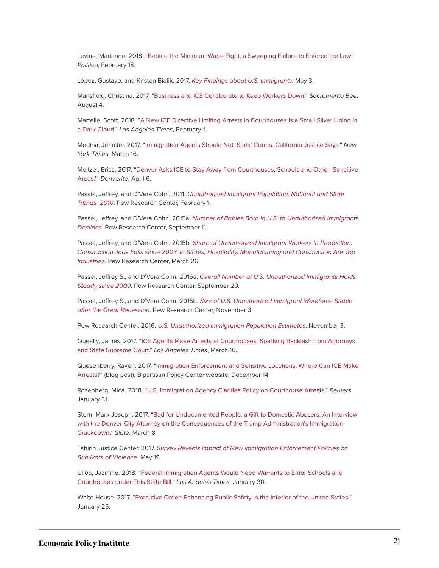Levine, Marianne. 2018. ["Behind the Minimum Wage Fight, a Sweeping Failure to Enforce the Law.](https://www.politico.com/story/2018/02/18/minimum-wage-not-enforced-investigation-409644)" *Politico*, February 18.

López, Gustavo, and Kristen Bialik. 2017. *[Key Findings about U.S. Immigrants](http://www.pewresearch.org/fact-tank/2017/05/03/key-findings-about-u-s-immigrants/)*. May 3.

Mansfield, Christina. 2017. ["Business and ICE Collaborate to Keep Workers Down](http://www.sacbee.com/opinion/op-ed/soapbox/article165541417.html)." *Sacramento Bee*, August 4.

Martelle, Scott. 2018. "[A New ICE Directive Limiting Arrests in Courthouses Is a Small Silver Lining in](http://www.latimes.com/opinion/opinion-la/la-ol-ice-courts-arrests-deportations-20180201-story.html) [a Dark Cloud](http://www.latimes.com/opinion/opinion-la/la-ol-ice-courts-arrests-deportations-20180201-story.html)." *Los Angeles Times*, February 1.

Medina, Jennifer. 2017. "[Immigration Agents Should Not 'Stalk' Courts, California Justice Says](https://www.nytimes.com/2017/03/16/us/immigration-agents-should-not-stalk-courts-california-justice-says.html?_r=0)." *New York Times*, March 16.

Meltzer, Erica. 2017. ["Denver Asks ICE to Stay Away from Courthouses, Schools and Other 'Sensitive](https://www.denverite.com/denver-asks-ice-stay-away-courthouses-schools-sensitive-areas-33126/) [Areas.'](https://www.denverite.com/denver-asks-ice-stay-away-courthouses-schools-sensitive-areas-33126/)" *Denverite*, April 6.

Passel, Jeffrey, and D'Vera Cohn. 2011. *[Unauthorized Immigrant Population: National and State](http://www.pewhispanic.org/files/reports/133.pdf) [Trends, 2010](http://www.pewhispanic.org/files/reports/133.pdf)*. Pew Research Center, February 1.

Passel, Jeffrey, and D'Vera Cohn. 2015a. *[Number of Babies Born in U.S. to Unauthorized Immigrants](http://www.pewresearch.org/fact-tank/2015/09/11/number-of-babies-born-in-u-s-to-unauthorized-immigrants-declines/) [Declines](http://www.pewresearch.org/fact-tank/2015/09/11/number-of-babies-born-in-u-s-to-unauthorized-immigrants-declines/).* Pew Research Center, September 11.

Passel, Jeffrey, and D'Vera Cohn. 2015b. *[Share of Unauthorized Immigrant Workers in Production,](http://www.pewhispanic.org/2015/03/26/share-of-unauthorized-immigrant-workers-in-production-construction-jobs-falls-since-2007/) [Construction Jobs Falls since 2007: In States, Hospitality, Manufacturing and Construction Are Top](http://www.pewhispanic.org/2015/03/26/share-of-unauthorized-immigrant-workers-in-production-construction-jobs-falls-since-2007/) [Industries](http://www.pewhispanic.org/2015/03/26/share-of-unauthorized-immigrant-workers-in-production-construction-jobs-falls-since-2007/)*. Pew Research Center, March 26.

Passel, Jeffrey S., and D'Vera Cohn. 2016a. *[Overall Number of U.S. Unauthorized Immigrants Holds](http://www.pewhispanic.org/2016/09/20/overall-number-of-u-s-unauthorized-immigrants-holds-steady-since-2009/) [Steady since 2009](http://www.pewhispanic.org/2016/09/20/overall-number-of-u-s-unauthorized-immigrants-holds-steady-since-2009/)*. Pew Research Center, September 20.

Passel, Jeffrey S., and D'Vera Cohn. 2016b. *[Size of U.S. Unauthorized Immigrant Workforce Stable](http://www.pewhispanic.org/2016/11/03/size-of-u-s-unauthorized-immigrant-workforce-stable-after-the-great-recession/) [after the Great Recession](http://www.pewhispanic.org/2016/11/03/size-of-u-s-unauthorized-immigrant-workforce-stable-after-the-great-recession/)*. Pew Research Center, November 3.

Pew Research Center. 2016. *[U.S. Unauthorized Immigration Population Estimates](http://www.pewhispanic.org/interactives/unauthorized-immigrants/)*. November 3.

Queally, James. 2017. "[ICE Agents Make Arrests at Courthouses, Sparking Backlash from Attorneys](http://www.latimes.com/local/lanow/la-me-ln-ice-courthouse-arrests-20170315-story.html) [and State Supreme Court.](http://www.latimes.com/local/lanow/la-me-ln-ice-courthouse-arrests-20170315-story.html)" *Los Angeles Times*, March 16.

Quesenberry, Raven. 2017. ["Immigration Enforcement and Sensitive Locations: Where Can ICE Make](https://bipartisanpolicy.org/blog/immigration-enforcement-and-sensitive-locations-where-can-ice-make-arrests/) [Arrests?"](https://bipartisanpolicy.org/blog/immigration-enforcement-and-sensitive-locations-where-can-ice-make-arrests/) (blog post). Bipartisan Policy Center website, December 14.

Rosenberg, Mica. 2018. ["U.S. Immigration Agency Clarifies Policy on Courthouse Arrests.](https://www.reuters.com/article/us-usa-immigration/u-s-immigration-agency-clarifies-policy-on-courthouse-arrests-idUSKBN1FK335)" *Reuters*, January 31.

Stern, Mark Joseph. 2017. "[Bad for Undocumented People, a Gift to Domestic Abusers: An Interview](http://www.slate.com/articles/news_and_politics/jurisprudence/2017/03/denver_city_attorney_kristin_bronson_on_the_trump_immigration_crackdown.html) [with the Denver City Attorney on the Consequences of the Trump Administration's Immigration](http://www.slate.com/articles/news_and_politics/jurisprudence/2017/03/denver_city_attorney_kristin_bronson_on_the_trump_immigration_crackdown.html) [Crackdown.](http://www.slate.com/articles/news_and_politics/jurisprudence/2017/03/denver_city_attorney_kristin_bronson_on_the_trump_immigration_crackdown.html)" *Slate*, March 8.

Tahirih Justice Center. 2017. *[Survey Reveals Impact of New Immigration Enforcement Policies on](http://www.tahirih.org/news/survey-reveals-impact-of-new-immigration-enforcement-policies-on-survivors-of-violence/) [Survivors of Violence](http://www.tahirih.org/news/survey-reveals-impact-of-new-immigration-enforcement-policies-on-survivors-of-violence/)*. May 19.

Ulloa, Jazmine. 2018. "[Federal Immigration Agents Would Need Warrants to Enter Schools and](http://www.latimes.com/politics/essential/la-pol-ca-essential-politics-updates-federal-immigration-agents-would-need-1517287276-htmlstory.html) [Courthouses under This State Bill](http://www.latimes.com/politics/essential/la-pol-ca-essential-politics-updates-federal-immigration-agents-would-need-1517287276-htmlstory.html)." *Los Angeles Times,* January 30.

White House. 2017. "[Executive Order: Enhancing Public Safety in the Interior of the United States.](https://www.whitehouse.gov/presidential-actions/executive-order-enhancing-public-safety-interior-united-states/)" January 25.